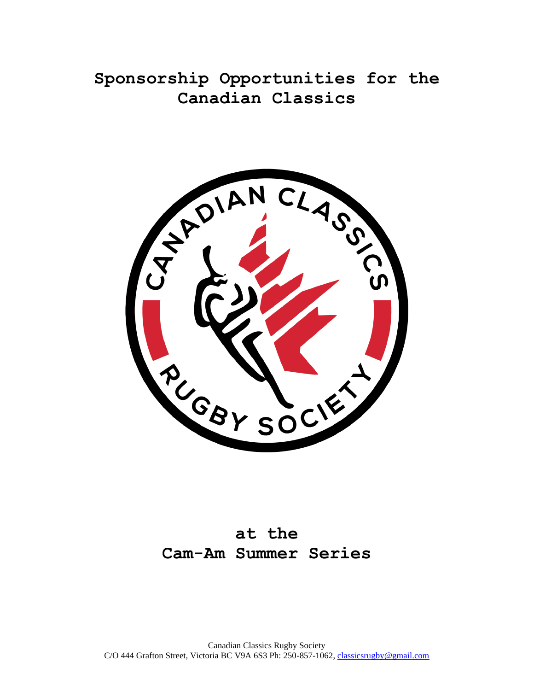**Sponsorship Opportunities for the Canadian Classics**



# **at the Cam-Am Summer Series**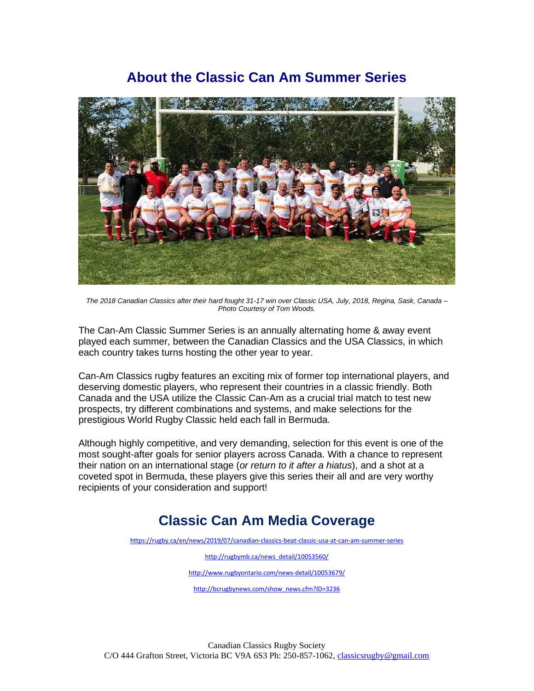## **About the Classic Can Am Summer Series**



*The 2018 Canadian Classics after their hard fought 31-17 win over Classic USA, July, 2018, Regina, Sask, Canada – Photo Courtesy of Tom Woods.*

The Can-Am Classic Summer Series is an annually alternating home & away event played each summer, between the Canadian Classics and the USA Classics, in which each country takes turns hosting the other year to year.

Can-Am Classics rugby features an exciting mix of former top international players, and deserving domestic players, who represent their countries in a classic friendly. Both Canada and the USA utilize the Classic Can-Am as a crucial trial match to test new prospects, try different combinations and systems, and make selections for the prestigious World Rugby Classic held each fall in Bermuda.

Although highly competitive, and very demanding, selection for this event is one of the most sought-after goals for senior players across Canada. With a chance to represent their nation on an international stage (*or return to it after a hiatus*), and a shot at a coveted spot in Bermuda, these players give this series their all and are very worthy recipients of your consideration and support!

## **Classic Can Am Media Coverage**

<https://rugby.ca/en/news/2019/07/canadian-classics-beat-classic-usa-at-can-am-summer-series>

[http://rugbymb.ca/news\\_detail/10053560/](http://rugbymb.ca/news_detail/10053560/)

<http://www.rugbyontario.com/news-detail/10053679/>

[http://bcrugbynews.com/show\\_news.cfm?ID=3236](http://bcrugbynews.com/show_news.cfm?ID=3236)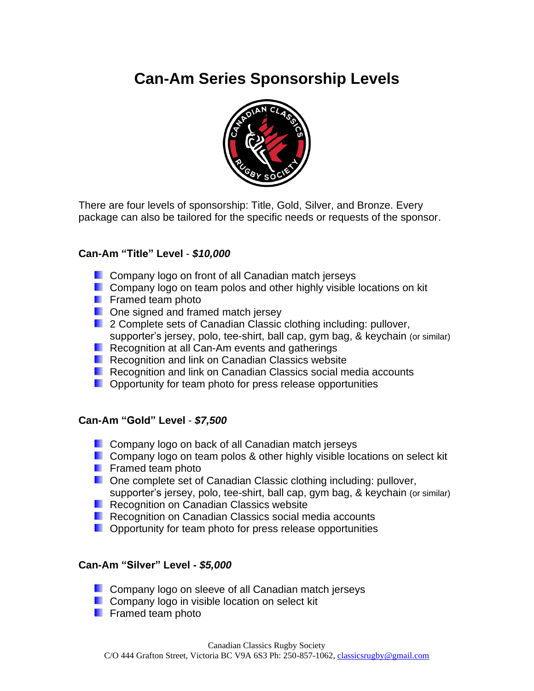# **Can-Am Series Sponsorship Levels**



There are four levels of sponsorship: Title, Gold, Silver, and Bronze. Every package can also be tailored for the specific needs or requests of the sponsor.

### **Can-Am "Title" Level** - *\$10,000*

- **Company logo on front of all Canadian match jerseys**
- **Company logo on team polos and other highly visible locations on kit**
- **F** Framed team photo
- **D** One signed and framed match jersey
- **2 Complete sets of Canadian Classic clothing including: pullover,** supporter's jersey, polo, tee-shirt, ball cap, gym bag, & keychain (or similar)
- **Recognition at all Can-Am events and gatherings**
- **Recognition and link on Canadian Classics website**
- **Recognition and link on Canadian Classics social media accounts**
- **D** Opportunity for team photo for press release opportunities

#### **Can-Am "Gold" Level** - *\$7,500*

- **Company logo on back of all Canadian match jerseys**
- **Company logo on team polos & other highly visible locations on select kit**
- **Filter** Framed team photo
- **D.** One complete set of Canadian Classic clothing including: pullover, supporter's jersey, polo, tee-shirt, ball cap, gym bag, & keychain (or similar)
- **Recognition on Canadian Classics website**
- **Recognition on Canadian Classics social media accounts**
- **D** Opportunity for team photo for press release opportunities

### **Can-Am "Silver" Level -** *\$5,000*

- **Company logo on sleeve of all Canadian match jerseys**
- **Company logo in visible location on select kit**
- **Framed team photo**